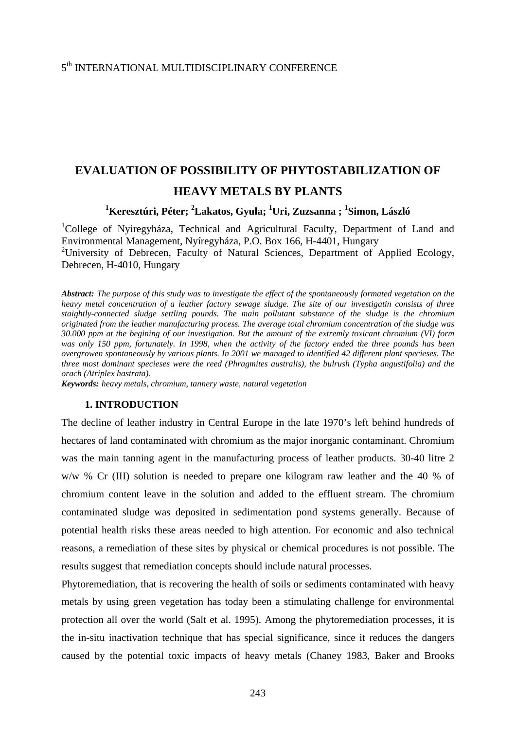# **EVALUATION OF POSSIBILITY OF PHYTOSTABILIZATION OF HEAVY METALS BY PLANTS**

## **1 Keresztúri, Péter; 2 Lakatos, Gyula; <sup>1</sup> Uri, Zuzsanna ; 1 Simon, László**

<sup>1</sup>College of Nyiregyháza, Technical and Agricultural Faculty, Department of Land and Environmental Management, Nyíregyháza, P.O. Box 166, H-4401, Hungary <sup>2</sup>University of Debrecen, Faculty of Natural Sciences, Department of Applied Ecology, Debrecen, H-4010, Hungary

*Abstract: The purpose of this study was to investigate the effect of the spontaneously formated vegetation on the heavy metal concentration of a leather factory sewage sludge. The site of our investigatin consists of three staightly-connected sludge settling pounds. The main pollutant substance of the sludge is the chromium originated from the leather manufacturing process. The average total chromium concentration of the sludge was 30.000 ppm at the begining of our investigation. But the amount of the extremly toxicant chromium (VI) form was only 150 ppm, fortunately. In 1998, when the activity of the factory ended the three pounds has been overgrowen spontaneously by various plants. In 2001 we managed to identified 42 different plant specieses. The three most dominant specieses were the reed (Phragmites australis), the bulrush (Typha angustifolia) and the orach (Atriplex hastrata).* 

*Keywords: heavy metals, chromium, tannery waste, natural vegetation*

### **1. INTRODUCTION**

The decline of leather industry in Central Europe in the late 1970's left behind hundreds of hectares of land contaminated with chromium as the major inorganic contaminant. Chromium was the main tanning agent in the manufacturing process of leather products. 30-40 litre 2 w/w % Cr (III) solution is needed to prepare one kilogram raw leather and the 40 % of chromium content leave in the solution and added to the effluent stream. The chromium contaminated sludge was deposited in sedimentation pond systems generally. Because of potential health risks these areas needed to high attention. For economic and also technical reasons, a remediation of these sites by physical or chemical procedures is not possible. The results suggest that remediation concepts should include natural processes.

Phytoremediation, that is recovering the health of soils or sediments contaminated with heavy metals by using green vegetation has today been a stimulating challenge for environmental protection all over the world (Salt et al. 1995). Among the phytoremediation processes, it is the in-situ inactivation technique that has special significance, since it reduces the dangers caused by the potential toxic impacts of heavy metals (Chaney 1983, Baker and Brooks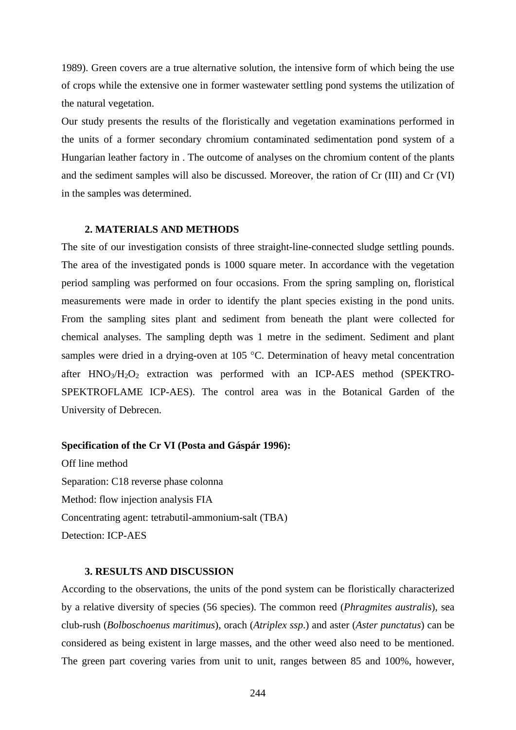1989). Green covers are a true alternative solution, the intensive form of which being the use of crops while the extensive one in former wastewater settling pond systems the utilization of the natural vegetation.

Our study presents the results of the floristically and vegetation examinations performed in the units of a former secondary chromium contaminated sedimentation pond system of a Hungarian leather factory in . The outcome of analyses on the chromium content of the plants and the sediment samples will also be discussed. Moreover, the ration of Cr (III) and Cr (VI) in the samples was determined.

#### **2. MATERIALS AND METHODS**

The site of our investigation consists of three straight-line-connected sludge settling pounds. The area of the investigated ponds is 1000 square meter. In accordance with the vegetation period sampling was performed on four occasions. From the spring sampling on, floristical measurements were made in order to identify the plant species existing in the pond units. From the sampling sites plant and sediment from beneath the plant were collected for chemical analyses. The sampling depth was 1 metre in the sediment. Sediment and plant samples were dried in a drying-oven at 105 °C. Determination of heavy metal concentration after  $HNO_3/H_2O_2$  extraction was performed with an ICP-AES method (SPEKTRO-SPEKTROFLAME ICP-AES). The control area was in the Botanical Garden of the University of Debrecen.

#### **Specification of the Cr VI (Posta and Gáspár 1996):**

Off line method Separation: C18 reverse phase colonna Method: flow injection analysis FIA Concentrating agent: tetrabutil-ammonium-salt (TBA) Detection: ICP-AES

#### **3. RESULTS AND DISCUSSION**

According to the observations, the units of the pond system can be floristically characterized by a relative diversity of species (56 species). The common reed (*Phragmites australis*), sea club-rush (*Bolboschoenus maritimus*), orach (*Atriplex ssp*.) and aster (*Aster punctatus*) can be considered as being existent in large masses, and the other weed also need to be mentioned. The green part covering varies from unit to unit, ranges between 85 and 100%, however,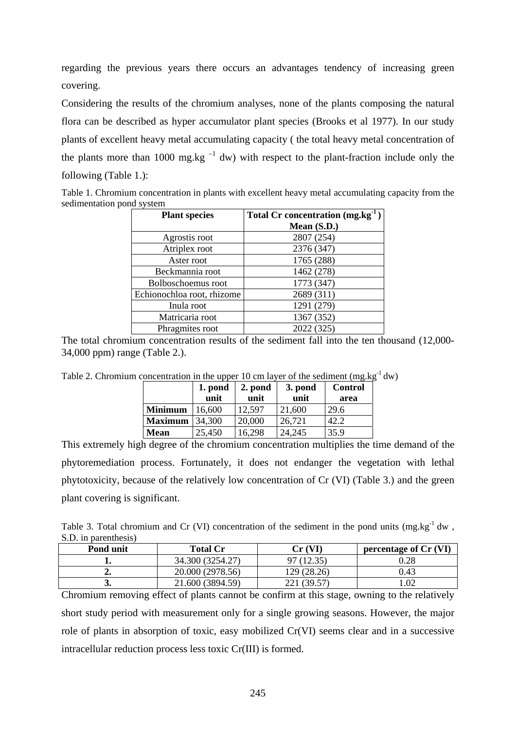regarding the previous years there occurs an advantages tendency of increasing green covering.

Considering the results of the chromium analyses, none of the plants composing the natural flora can be described as hyper accumulator plant species (Brooks et al 1977). In our study plants of excellent heavy metal accumulating capacity ( the total heavy metal concentration of the plants more than 1000 mg.kg<sup> $-1$ </sup> dw) with respect to the plant-fraction include only the following (Table 1.):

Table 1. Chromium concentration in plants with excellent heavy metal accumulating capacity from the sedimentation pond system

| <b>Plant species</b>       | Total Cr concentration (mg.kg <sup>-1</sup> ) |  |  |
|----------------------------|-----------------------------------------------|--|--|
|                            | Mean $(S.D.)$                                 |  |  |
| Agrostis root              | 2807 (254)                                    |  |  |
| Atriplex root              | 2376 (347)                                    |  |  |
| Aster root                 | 1765 (288)                                    |  |  |
| Beckmannia root            | 1462 (278)                                    |  |  |
| Bolboschoemus root         | 1773 (347)                                    |  |  |
| Echionochloa root, rhizome | 2689 (311)                                    |  |  |
| Inula root                 | 1291 (279)                                    |  |  |
| Matricaria root            | 1367 (352)                                    |  |  |
| Phragmites root            | 2022 (325)                                    |  |  |

The total chromium concentration results of the sediment fall into the ten thousand (12,000- 34,000 ppm) range (Table 2.).

Table 2. Chromium concentration in the upper 10 cm layer of the sediment  $(mg.kg<sup>-1</sup> dw)$ 

|                | 1. pond<br>unit | 2. pond<br>unit | 3. pond<br>unit | <b>Control</b><br>area |
|----------------|-----------------|-----------------|-----------------|------------------------|
| <b>Minimum</b> | 16,600          | 12,597          | 21,600          | 29.6                   |
| <b>Maximum</b> | 34,300          | 20,000          | 26,721          | 42.2                   |
| <b>Mean</b>    | 25,450          | 16,298          | 24,245          | 35.9                   |

This extremely high degree of the chromium concentration multiplies the time demand of the phytoremediation process. Fortunately, it does not endanger the vegetation with lethal phytotoxicity, because of the relatively low concentration of Cr (VI) (Table 3.) and the green plant covering is significant.

Table 3. Total chromium and Cr (VI) concentration of the sediment in the pond units  $(mg.kg^{-1} dw)$ . S.D. in parenthesis)

| Pond unit | <b>Total Cr</b>  | Cr (VF      | percentage of Cr (VI) |
|-----------|------------------|-------------|-----------------------|
|           | 34.300 (3254.27) |             | $\rm 0.28$            |
|           | 20.000 (2978.56) | 129 (28.26) | 0.43                  |
| ◡         | 21.600 (3894.59) | 221 (39.57) | .02                   |

Chromium removing effect of plants cannot be confirm at this stage, owning to the relatively short study period with measurement only for a single growing seasons. However, the major role of plants in absorption of toxic, easy mobilized Cr(VI) seems clear and in a successive intracellular reduction process less toxic Cr(III) is formed.